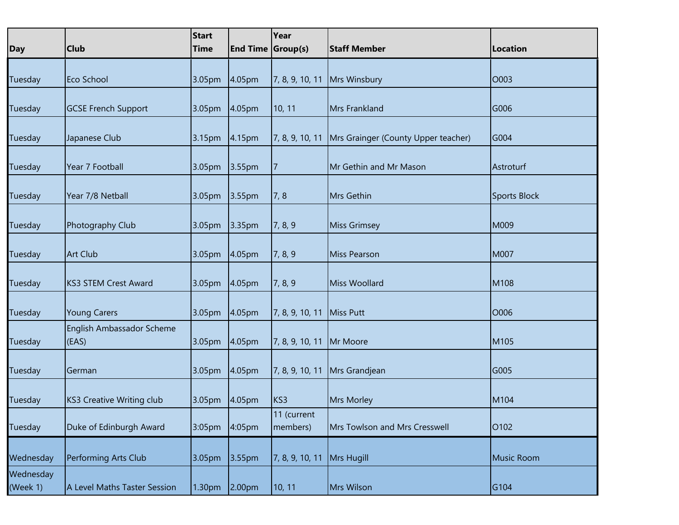| <b>Day</b>            | <b>Club</b>                        | <b>Start</b><br><b>Time</b> | <b>End Time Group(s)</b> | Year                    | <b>Staff Member</b>                 | Location            |
|-----------------------|------------------------------------|-----------------------------|--------------------------|-------------------------|-------------------------------------|---------------------|
|                       |                                    |                             |                          |                         |                                     |                     |
| Tuesday               | Eco School                         | 3.05pm                      | 4.05 <sub>pm</sub>       | 7, 8, 9, 10, 11         | <b>Mrs Winsbury</b>                 | O003                |
| Tuesday               | <b>GCSE French Support</b>         | 3.05pm 4.05pm               |                          | 10, 11                  | Mrs Frankland                       | G006                |
|                       |                                    |                             |                          |                         |                                     |                     |
| Tuesday               | Japanese Club                      | 3.15pm 4.15pm               |                          | 7, 8, 9, 10, 11         | Mrs Grainger (County Upper teacher) | G004                |
| Tuesday               | Year 7 Football                    | 3.05pm 3.55pm               |                          | $\overline{7}$          | Mr Gethin and Mr Mason              | Astroturf           |
| Tuesday               | Year 7/8 Netball                   | 3.05pm 3.55pm               |                          | 7,8                     | Mrs Gethin                          | <b>Sports Block</b> |
|                       |                                    |                             |                          |                         |                                     |                     |
| Tuesday               | Photography Club                   | 3.05pm 3.35pm               |                          | 7, 8, 9                 | <b>Miss Grimsey</b>                 | M009                |
| Tuesday               | <b>Art Club</b>                    | 3.05pm 4.05pm               |                          | 7, 8, 9                 | Miss Pearson                        | M007                |
| Tuesday               | <b>KS3 STEM Crest Award</b>        | 3.05pm                      | 4.05 <sub>pm</sub>       | 7, 8, 9                 | Miss Woollard                       | M108                |
| Tuesday               | <b>Young Carers</b>                | 3.05pm                      | 4.05 <sub>pm</sub>       | 7, 8, 9, 10, 11         | Miss Putt                           | O006                |
| Tuesday               | English Ambassador Scheme<br>(EAS) | 3.05pm                      | 4.05pm                   | 7, 8, 9, 10, 11         | Mr Moore                            | M105                |
| Tuesday               | German                             | 3.05pm                      | 4.05 <sub>pm</sub>       | 7, 8, 9, 10, 11         | Mrs Grandjean                       | G005                |
|                       |                                    |                             |                          |                         |                                     |                     |
| Tuesday               | <b>KS3 Creative Writing club</b>   | 3.05pm 4.05pm               |                          | KS3                     | Mrs Morley                          | M104                |
| Tuesday               | Duke of Edinburgh Award            | 3:05pm                      | 4:05pm                   | 11 (current<br>members) | Mrs Towlson and Mrs Cresswell       | O <sub>102</sub>    |
| Wednesday             | Performing Arts Club               | 3.05pm                      | 3.55pm                   | 7, 8, 9, 10, 11         | <b>Mrs Hugill</b>                   | <b>Music Room</b>   |
| Wednesday<br>(Week 1) | A Level Maths Taster Session       | 1.30pm                      | 2.00pm                   | 10, 11                  | Mrs Wilson                          | G104                |